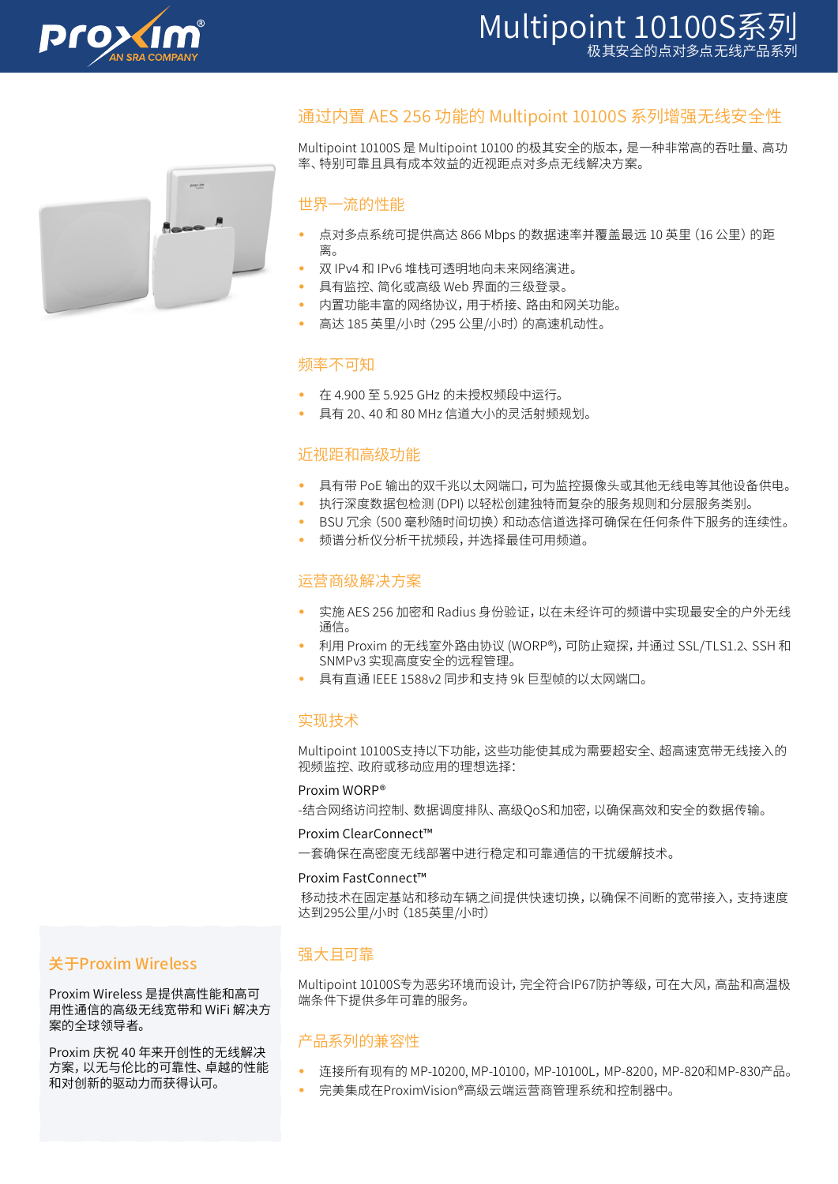



# 通过内置 AES 256 功能的 Multipoint 10100S 系列增强无线安全性

Multipoint 10100S 是 Multipoint 10100 的极其安全的版本,是一种非常高的吞吐量、高功 率、特别可靠且具有成本效益的近视距点对多点无线解决方案。

## 世界一流的性能

- 点对多点系统可提供高达 866 Mbps 的数据速率并覆盖最远 10 英里 (16 公里) 的距 离。
- 双 IPv4 和 IPv6 堆栈可透明地向未来网络演进。
- 具有监控、简化或高级 Web 界面的三级登录。
- 内置功能丰富的网络协议,用于桥接、路由和网关功能。
- 高达 185 英里/小时 (295 公里/小时) 的高速机动性。

## 频率不可知

- 在 4.900 至 5.925 GHz 的未授权频段中运行。
- 具有 20、40 和 80 MHz 信道大小的灵活射频规划。

## 近视距和高级功能

- 具有带 PoE 输出的双千兆以太网端口,可为监控摄像头或其他无线电等其他设备供电。
- 执行深度数据包检测 (DPI) 以轻松创建独特而复杂的服务规则和分层服务类别。
- BSU 冗余(500 毫秒随时间切换)和动态信道选择可确保在任何条件下服务的连续性。
- 频谱分析仪分析干扰频段,并选择最佳可用频道。

## 运营商级解决方案

- 实施 AES 256 加密和 Radius 身份验证,以在未经许可的频谱中实现最安全的户外无线 通信。
- 利用 Proxim 的无线室外路由协议 (WORP®),可防止窥探,并通过 SSL/TLS1.2、SSH 和 SNMPv3 实现高度安全的远程管理。
- 具有直通 IEEE 1588v2 同步和支持 9k 巨型帧的以太网端口。

#### 实现技术

Multipoint 10100S支持以下功能,这些功能使其成为需要超安全、超高速宽带无线接入的 视频监控、政府或移动应用的理想选择:

#### Proxim WORP®

-结合网络访问控制、数据调度排队、高级QoS和加密,以确保高效和安全的数据传输。

#### Proxim ClearConnect™

一套确保在高密度无线部署中进行稳定和可靠通信的干扰缓解技术。

#### Proxim FastConnect™

 移动技术在固定基站和移动车辆之间提供快速切换,以确保不间断的宽带接入,支持速度 达到295公里/小时(185英里/小时)

## 关于Proxim Wireless

Proxim Wireless 是提供高性能和高可 用性通信的高级无线宽带和 WiFi 解决方 案的全球领导者。

Proxim 庆祝 40 年来开创性的无线解决 方案,以无与伦比的可靠性、卓越的性能 和对创新的驱动力而获得认可。

## 强大且可靠

Multipoint 10100S专为恶劣环境而设计,完全符合IP67防护等级,可在大风,高盐和高温极 端条件下提供多年可靠的服务。

## 产品系列的兼容性

- 连接所有现有的 MP-10200, MP-10100,MP-10100L,MP-8200,MP-820和MP-830产品。
	- 完美集成在ProximVision®高级云端运营商管理系统和控制器中。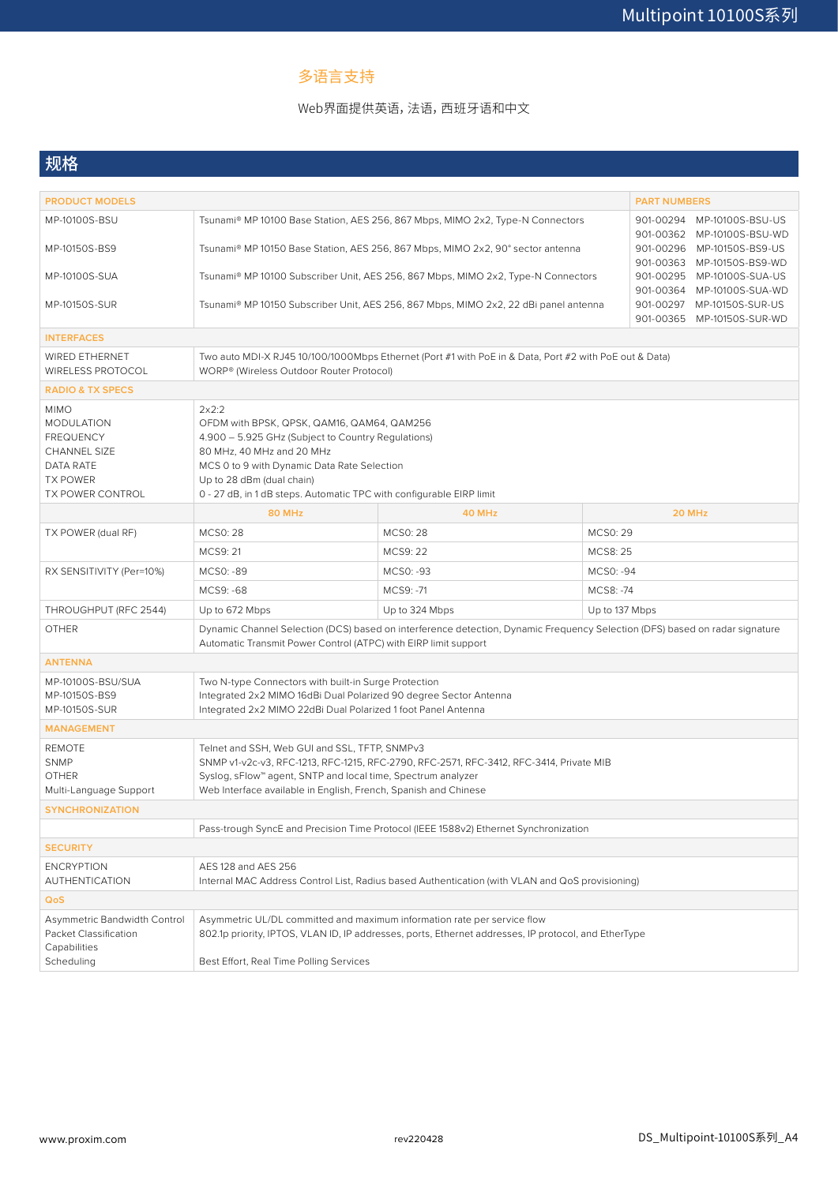# 多语言支持

## Web界面提供英语,法语,西班牙语和中文

# 规格

| <b>PRODUCT MODELS</b>                                                                                                                  |                                                                                                                                                                                                                                                                                            |                                                          | <b>PART NUMBERS</b> |  |  |  |  |
|----------------------------------------------------------------------------------------------------------------------------------------|--------------------------------------------------------------------------------------------------------------------------------------------------------------------------------------------------------------------------------------------------------------------------------------------|----------------------------------------------------------|---------------------|--|--|--|--|
| MP-10100S-BSU                                                                                                                          | Tsunami® MP 10100 Base Station, AES 256, 867 Mbps, MIMO 2x2, Type-N Connectors                                                                                                                                                                                                             | 901-00294 MP-10100S-BSU-US<br>901-00362 MP-10100S-BSU-WD |                     |  |  |  |  |
| MP-10150S-BS9                                                                                                                          | Tsunami® MP 10150 Base Station, AES 256, 867 Mbps, MIMO 2x2, 90° sector antenna<br>901-00296 MP-10150S-BS9-US<br>901-00363 MP-10150S-BS9-WD                                                                                                                                                |                                                          |                     |  |  |  |  |
| <b>MP-10100S-SUA</b>                                                                                                                   | 901-00295 MP-10100S-SUA-US<br>Tsunami® MP 10100 Subscriber Unit, AES 256, 867 Mbps, MIMO 2x2, Type-N Connectors<br>901-00364 MP-10100S-SUA-WD                                                                                                                                              |                                                          |                     |  |  |  |  |
| MP-10150S-SUR                                                                                                                          | 901-00297 MP-10150S-SUR-US<br>Tsunami® MP 10150 Subscriber Unit, AES 256, 867 Mbps, MIMO 2x2, 22 dBi panel antenna<br>901-00365 MP-10150S-SUR-WD                                                                                                                                           |                                                          |                     |  |  |  |  |
| <b>INTERFACES</b>                                                                                                                      |                                                                                                                                                                                                                                                                                            |                                                          |                     |  |  |  |  |
| <b>WIRED ETHERNET</b><br><b>WIRELESS PROTOCOL</b>                                                                                      | Two auto MDI-X RJ45 10/100/1000Mbps Ethernet (Port #1 with PoE in & Data, Port #2 with PoE out & Data)<br>WORP® (Wireless Outdoor Router Protocol)                                                                                                                                         |                                                          |                     |  |  |  |  |
| <b>RADIO &amp; TX SPECS</b>                                                                                                            |                                                                                                                                                                                                                                                                                            |                                                          |                     |  |  |  |  |
| <b>MIMO</b><br><b>MODULATION</b><br><b>FREQUENCY</b><br><b>CHANNEL SIZE</b><br>DATA RATE<br><b>TX POWER</b><br><b>TX POWER CONTROL</b> | 2x2:2<br>OFDM with BPSK, QPSK, QAM16, QAM64, QAM256<br>4.900 - 5.925 GHz (Subject to Country Regulations)<br>80 MHz, 40 MHz and 20 MHz<br>MCS 0 to 9 with Dynamic Data Rate Selection<br>Up to 28 dBm (dual chain)<br>0 - 27 dB, in 1 dB steps. Automatic TPC with configurable EIRP limit |                                                          |                     |  |  |  |  |
|                                                                                                                                        | <b>80 MHz</b>                                                                                                                                                                                                                                                                              | 40 MHz                                                   | 20 MHz              |  |  |  |  |
| TX POWER (dual RF)                                                                                                                     | <b>MCS0: 28</b>                                                                                                                                                                                                                                                                            | <b>MCS0:28</b>                                           | MCS0: 29            |  |  |  |  |
|                                                                                                                                        | MCS9: 21                                                                                                                                                                                                                                                                                   | MCS9: 22                                                 | <b>MCS8: 25</b>     |  |  |  |  |
| RX SENSITIVITY (Per=10%)                                                                                                               | MCS0: -89                                                                                                                                                                                                                                                                                  | MCS0: -93                                                | MCS0: -94           |  |  |  |  |
|                                                                                                                                        | MCS9: -68                                                                                                                                                                                                                                                                                  | MCS9: -71                                                | MCS8: -74           |  |  |  |  |
| THROUGHPUT (RFC 2544)                                                                                                                  | Up to 672 Mbps                                                                                                                                                                                                                                                                             | Up to 324 Mbps                                           | Up to 137 Mbps      |  |  |  |  |
| <b>OTHER</b>                                                                                                                           | Dynamic Channel Selection (DCS) based on interference detection, Dynamic Frequency Selection (DFS) based on radar signature<br>Automatic Transmit Power Control (ATPC) with EIRP limit support                                                                                             |                                                          |                     |  |  |  |  |
| <b>ANTENNA</b>                                                                                                                         |                                                                                                                                                                                                                                                                                            |                                                          |                     |  |  |  |  |
| MP-10100S-BSU/SUA<br>MP-10150S-BS9<br>MP-10150S-SUR                                                                                    | Two N-type Connectors with built-in Surge Protection<br>Integrated 2x2 MIMO 16dBi Dual Polarized 90 degree Sector Antenna<br>Integrated 2x2 MIMO 22dBi Dual Polarized 1 foot Panel Antenna                                                                                                 |                                                          |                     |  |  |  |  |
| <b>MANAGEMENT</b>                                                                                                                      |                                                                                                                                                                                                                                                                                            |                                                          |                     |  |  |  |  |
| <b>REMOTE</b><br><b>SNMP</b><br><b>OTHER</b><br>Multi-Language Support                                                                 | Telnet and SSH, Web GUI and SSL, TFTP, SNMPv3<br>SNMP v1-v2c-v3, RFC-1213, RFC-1215, RFC-2790, RFC-2571, RFC-3412, RFC-3414, Private MIB<br>Syslog, sFlow <sup>"</sup> agent, SNTP and local time, Spectrum analyzer<br>Web Interface available in English, French, Spanish and Chinese    |                                                          |                     |  |  |  |  |
| <b>SYNCHRONIZATION</b>                                                                                                                 |                                                                                                                                                                                                                                                                                            |                                                          |                     |  |  |  |  |
|                                                                                                                                        | Pass-trough SyncE and Precision Time Protocol (IEEE 1588v2) Ethernet Synchronization                                                                                                                                                                                                       |                                                          |                     |  |  |  |  |
| <b>SECURITY</b>                                                                                                                        |                                                                                                                                                                                                                                                                                            |                                                          |                     |  |  |  |  |
| <b>ENCRYPTION</b><br><b>AUTHENTICATION</b>                                                                                             | AES 128 and AES 256<br>Internal MAC Address Control List, Radius based Authentication (with VLAN and QoS provisioning)                                                                                                                                                                     |                                                          |                     |  |  |  |  |
| QoS                                                                                                                                    |                                                                                                                                                                                                                                                                                            |                                                          |                     |  |  |  |  |
| Asymmetric Bandwidth Control<br>Packet Classification<br>Capabilities<br>Scheduling                                                    | Asymmetric UL/DL committed and maximum information rate per service flow<br>802.1p priority, IPTOS, VLAN ID, IP addresses, ports, Ethernet addresses, IP protocol, and EtherType<br>Best Effort, Real Time Polling Services                                                                |                                                          |                     |  |  |  |  |